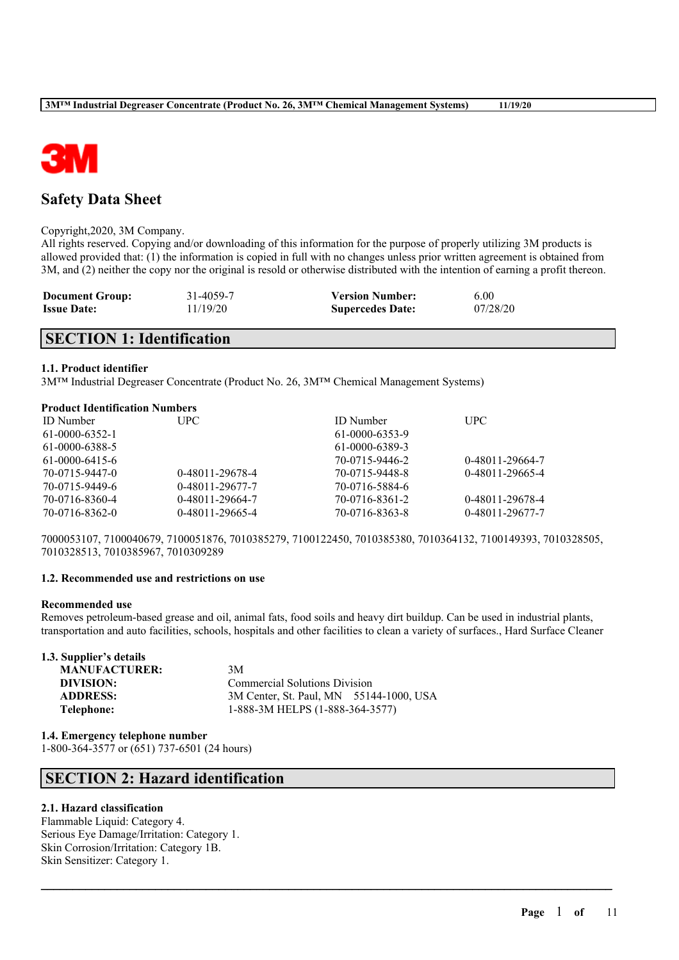

# **Safety Data Sheet**

#### Copyright,2020, 3M Company.

All rights reserved. Copying and/or downloading of this information for the purpose of properly utilizing 3M products is allowed provided that: (1) the information is copied in full with no changes unless prior written agreement is obtained from 3M, and (2) neither the copy nor the original is resold or otherwise distributed with the intention of earning a profit thereon.

| <b>Document Group:</b> | 31-4059-7 | <b>Version Number:</b>  | 6.00     |
|------------------------|-----------|-------------------------|----------|
| <b>Issue Date:</b>     | 11/19/20  | <b>Supercedes Date:</b> | 07/28/20 |

# **SECTION 1: Identification**

## **1.1. Product identifier**

3M™ Industrial Degreaser Concentrate (Product No. 26, 3M™ Chemical Management Systems)

## **Product Identification Numbers**

| <b>ID</b> Number<br>61-0000-6352-1 | UPC-            | <b>ID</b> Number<br>61-0000-6353-9 | <b>UPC</b>      |
|------------------------------------|-----------------|------------------------------------|-----------------|
| 61-0000-6388-5                     |                 | 61-0000-6389-3                     |                 |
| $61-0000-6415-6$                   |                 | 70-0715-9446-2                     | 0-48011-29664-7 |
| 70-0715-9447-0                     | 0-48011-29678-4 | 70-0715-9448-8                     | 0-48011-29665-4 |
| 70-0715-9449-6                     | 0-48011-29677-7 | 70-0716-5884-6                     |                 |
| 70-0716-8360-4                     | 0-48011-29664-7 | 70-0716-8361-2                     | 0-48011-29678-4 |
| 70-0716-8362-0                     | 0-48011-29665-4 | 70-0716-8363-8                     | 0-48011-29677-7 |

7000053107, 7100040679, 7100051876, 7010385279, 7100122450, 7010385380, 7010364132, 7100149393, 7010328505, 7010328513, 7010385967, 7010309289

## **1.2. Recommended use and restrictions on use**

## **Recommended use**

Removes petroleum-based grease and oil, animal fats, food soils and heavy dirt buildup. Can be used in industrial plants, transportation and auto facilities, schools, hospitals and other facilities to clean a variety of surfaces., Hard Surface Cleaner

 $\mathcal{L}_\mathcal{L} = \mathcal{L}_\mathcal{L} = \mathcal{L}_\mathcal{L} = \mathcal{L}_\mathcal{L} = \mathcal{L}_\mathcal{L} = \mathcal{L}_\mathcal{L} = \mathcal{L}_\mathcal{L} = \mathcal{L}_\mathcal{L} = \mathcal{L}_\mathcal{L} = \mathcal{L}_\mathcal{L} = \mathcal{L}_\mathcal{L} = \mathcal{L}_\mathcal{L} = \mathcal{L}_\mathcal{L} = \mathcal{L}_\mathcal{L} = \mathcal{L}_\mathcal{L} = \mathcal{L}_\mathcal{L} = \mathcal{L}_\mathcal{L}$ 

| 1.3. Supplier's details |                                         |
|-------------------------|-----------------------------------------|
| <b>MANUFACTURER:</b>    | 3M                                      |
| DIVISION:               | <b>Commercial Solutions Division</b>    |
| <b>ADDRESS:</b>         | 3M Center, St. Paul, MN 55144-1000, USA |
| Telephone:              | 1-888-3M HELPS (1-888-364-3577)         |

**1.4. Emergency telephone number** 1-800-364-3577 or (651) 737-6501 (24 hours)

# **SECTION 2: Hazard identification**

## **2.1. Hazard classification**

Flammable Liquid: Category 4. Serious Eye Damage/Irritation: Category 1. Skin Corrosion/Irritation: Category 1B. Skin Sensitizer: Category 1.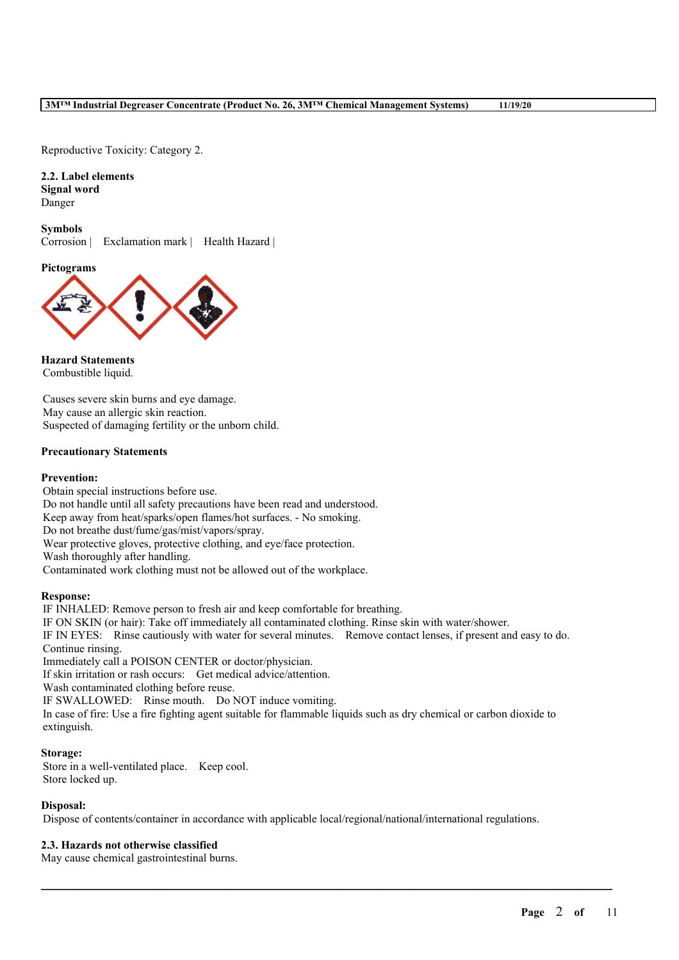Reproductive Toxicity: Category 2.

**2.2. Label elements Signal word** Danger

**Symbols** Corrosion | Exclamation mark | Health Hazard |

**Pictograms**



**Hazard Statements** Combustible liquid.

Causes severe skin burns and eye damage. May cause an allergic skin reaction. Suspected of damaging fertility or the unborn child.

## **Precautionary Statements**

### **Prevention:**

Obtain special instructions before use. Do not handle until all safety precautions have been read and understood. Keep away from heat/sparks/open flames/hot surfaces. - No smoking. Do not breathe dust/fume/gas/mist/vapors/spray. Wear protective gloves, protective clothing, and eye/face protection. Wash thoroughly after handling. Contaminated work clothing must not be allowed out of the workplace.

## **Response:**

IF INHALED: Remove person to fresh air and keep comfortable for breathing. IF ON SKIN (or hair): Take off immediately all contaminated clothing. Rinse skin with water/shower. IF IN EYES: Rinse cautiously with water for several minutes. Remove contact lenses, if present and easy to do. Continue rinsing. Immediately call a POISON CENTER or doctor/physician. If skin irritation or rash occurs: Get medical advice/attention. Wash contaminated clothing before reuse. IF SWALLOWED: Rinse mouth. Do NOT induce vomiting. In case of fire: Use a fire fighting agent suitable for flammable liquids such as dry chemical or carbon dioxide to extinguish.

### **Storage:**

Store in a well-ventilated place. Keep cool. Store locked up.

#### **Disposal:**

Dispose of contents/container in accordance with applicable local/regional/national/international regulations.

 $\mathcal{L}_\mathcal{L} = \mathcal{L}_\mathcal{L} = \mathcal{L}_\mathcal{L} = \mathcal{L}_\mathcal{L} = \mathcal{L}_\mathcal{L} = \mathcal{L}_\mathcal{L} = \mathcal{L}_\mathcal{L} = \mathcal{L}_\mathcal{L} = \mathcal{L}_\mathcal{L} = \mathcal{L}_\mathcal{L} = \mathcal{L}_\mathcal{L} = \mathcal{L}_\mathcal{L} = \mathcal{L}_\mathcal{L} = \mathcal{L}_\mathcal{L} = \mathcal{L}_\mathcal{L} = \mathcal{L}_\mathcal{L} = \mathcal{L}_\mathcal{L}$ 

## **2.3. Hazards not otherwise classified**

May cause chemical gastrointestinal burns.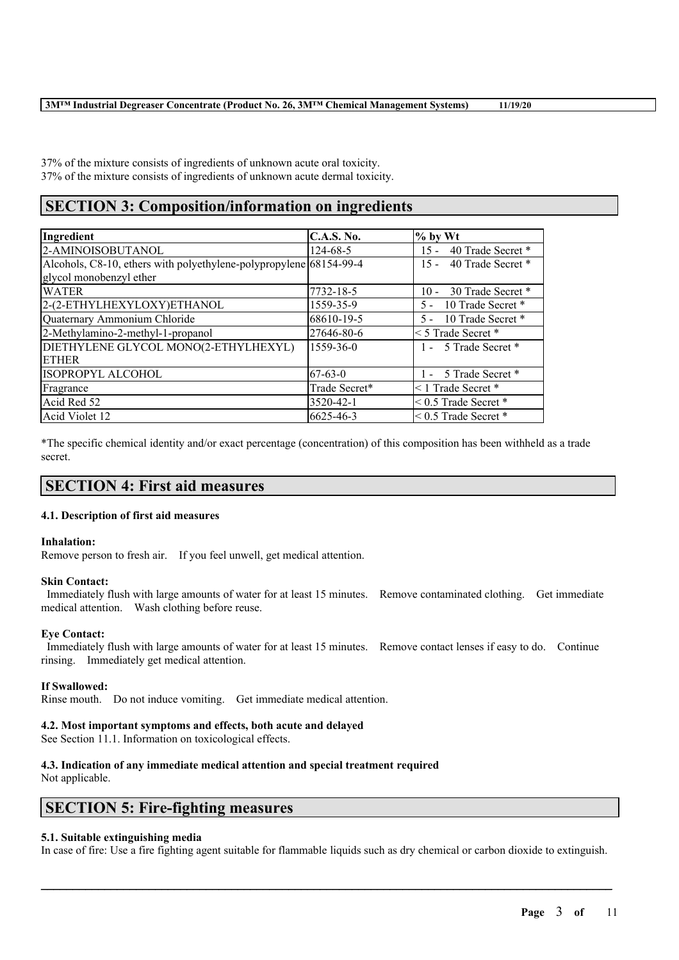37% of the mixture consists of ingredients of unknown acute oral toxicity. 37% of the mixture consists of ingredients of unknown acute dermal toxicity.

# **SECTION 3: Composition/information on ingredients**

| Ingredient                                                         | <b>C.A.S. No.</b> | $%$ by Wt                   |
|--------------------------------------------------------------------|-------------------|-----------------------------|
| 2-AMINOISOBUTANOL                                                  | $124 - 68 - 5$    | 40 Trade Secret *<br>$15 -$ |
| Alcohols, C8-10, ethers with polyethylene-polypropylene 68154-99-4 |                   | 40 Trade Secret *<br>$15 -$ |
| glycol monobenzyl ether                                            |                   |                             |
| <b>WATER</b>                                                       | 7732-18-5         | 10 - 30 Trade Secret *      |
| 2-(2-ETHYLHEXYLOXY)ETHANOL                                         | 1559-35-9         | 10 Trade Secret *<br>$5 -$  |
| Quaternary Ammonium Chloride                                       | 68610-19-5        | 5 - 10 Trade Secret *       |
| 2-Methylamino-2-methyl-1-propanol                                  | 27646-80-6        | $\leq$ 5 Trade Secret *     |
| DIETHYLENE GLYCOL MONO(2-ETHYLHEXYL)                               | $1559 - 36 - 0$   | 1 - 5 Trade Secret *        |
| <b>ETHER</b>                                                       |                   |                             |
| ISOPROPYL ALCOHOL                                                  | $67-63-0$         | 1 - 5 Trade Secret *        |
| Fragrance                                                          | Trade Secret*     | $\leq$ 1 Trade Secret $*$   |
| Acid Red 52                                                        | 3520-42-1         | $< 0.5$ Trade Secret $*$    |
| Acid Violet 12                                                     | 6625-46-3         | $< 0.5$ Trade Secret $*$    |

\*The specific chemical identity and/or exact percentage (concentration) of this composition has been withheld as a trade secret.

## **SECTION 4: First aid measures**

## **4.1. Description of first aid measures**

## **Inhalation:**

Remove person to fresh air. If you feel unwell, get medical attention.

## **Skin Contact:**

Immediately flush with large amounts of water for at least 15 minutes. Remove contaminated clothing. Get immediate medical attention. Wash clothing before reuse.

## **Eye Contact:**

Immediately flush with large amounts of water for at least 15 minutes. Remove contact lenses if easy to do. Continue rinsing. Immediately get medical attention.

## **If Swallowed:**

Rinse mouth. Do not induce vomiting. Get immediate medical attention.

## **4.2. Most important symptoms and effects, both acute and delayed**

See Section 11.1. Information on toxicological effects.

## **4.3. Indication of any immediate medical attention and special treatment required**

Not applicable.

## **SECTION 5: Fire-fighting measures**

## **5.1. Suitable extinguishing media**

In case of fire: Use a fire fighting agent suitable for flammable liquids such as dry chemical or carbon dioxide to extinguish.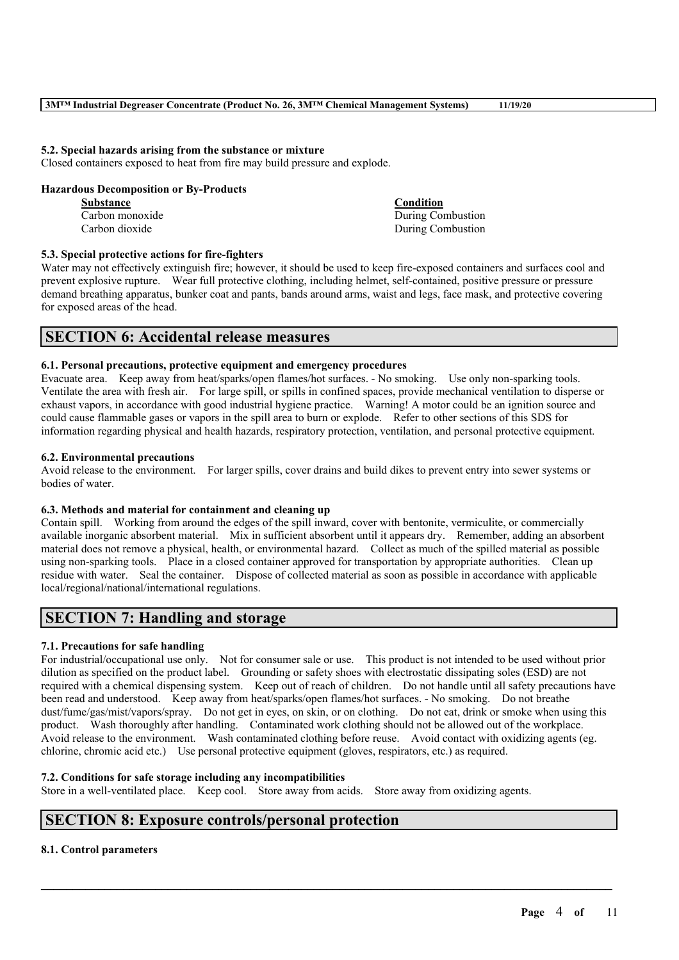## **5.2. Special hazards arising from the substance or mixture**

Closed containers exposed to heat from fire may build pressure and explode.

## **Hazardous Decomposition or By-Products**

| Substance       | <b>Condition</b>  |
|-----------------|-------------------|
| Carbon monoxide | During Combustion |
| Carbon dioxide  | During Combustion |

## **5.3. Special protective actions for fire-fighters**

Water may not effectively extinguish fire; however, it should be used to keep fire-exposed containers and surfaces cool and prevent explosive rupture. Wear full protective clothing, including helmet, self-contained, positive pressure or pressure demand breathing apparatus, bunker coat and pants, bands around arms, waist and legs, face mask, and protective covering for exposed areas of the head.

## **SECTION 6: Accidental release measures**

## **6.1. Personal precautions, protective equipment and emergency procedures**

Evacuate area. Keep away from heat/sparks/open flames/hot surfaces. - No smoking. Use only non-sparking tools. Ventilate the area with fresh air. For large spill, or spills in confined spaces, provide mechanical ventilation to disperse or exhaust vapors, in accordance with good industrial hygiene practice. Warning! A motor could be an ignition source and could cause flammable gases or vapors in the spill area to burn or explode. Refer to other sections of this SDS for information regarding physical and health hazards, respiratory protection, ventilation, and personal protective equipment.

## **6.2. Environmental precautions**

Avoid release to the environment. For larger spills, cover drains and build dikes to prevent entry into sewer systems or bodies of water.

## **6.3. Methods and material for containment and cleaning up**

Contain spill. Working from around the edges of the spill inward, cover with bentonite, vermiculite, or commercially available inorganic absorbent material. Mix in sufficient absorbent until it appears dry. Remember, adding an absorbent material does not remove a physical, health, or environmental hazard. Collect as much of the spilled material as possible using non-sparking tools. Place in a closed container approved for transportation by appropriate authorities. Clean up residue with water. Seal the container. Dispose of collected material as soon as possible in accordance with applicable local/regional/national/international regulations.

# **SECTION 7: Handling and storage**

## **7.1. Precautions for safe handling**

For industrial/occupational use only. Not for consumer sale or use. This product is not intended to be used without prior dilution as specified on the product label. Grounding or safety shoes with electrostatic dissipating soles (ESD) are not required with a chemical dispensing system. Keep out of reach of children. Do not handle until all safety precautions have been read and understood. Keep away from heat/sparks/open flames/hot surfaces. - No smoking. Do not breathe dust/fume/gas/mist/vapors/spray. Do not get in eyes, on skin, or on clothing. Do not eat, drink or smoke when using this product. Wash thoroughly after handling. Contaminated work clothing should not be allowed out of the workplace. Avoid release to the environment. Wash contaminated clothing before reuse. Avoid contact with oxidizing agents (eg. chlorine, chromic acid etc.) Use personal protective equipment (gloves, respirators, etc.) as required.

 $\mathcal{L}_\mathcal{L} = \mathcal{L}_\mathcal{L} = \mathcal{L}_\mathcal{L} = \mathcal{L}_\mathcal{L} = \mathcal{L}_\mathcal{L} = \mathcal{L}_\mathcal{L} = \mathcal{L}_\mathcal{L} = \mathcal{L}_\mathcal{L} = \mathcal{L}_\mathcal{L} = \mathcal{L}_\mathcal{L} = \mathcal{L}_\mathcal{L} = \mathcal{L}_\mathcal{L} = \mathcal{L}_\mathcal{L} = \mathcal{L}_\mathcal{L} = \mathcal{L}_\mathcal{L} = \mathcal{L}_\mathcal{L} = \mathcal{L}_\mathcal{L}$ 

## **7.2. Conditions for safe storage including any incompatibilities**

Store in a well-ventilated place. Keep cool. Store away from acids. Store away from oxidizing agents.

# **SECTION 8: Exposure controls/personal protection**

## **8.1. Control parameters**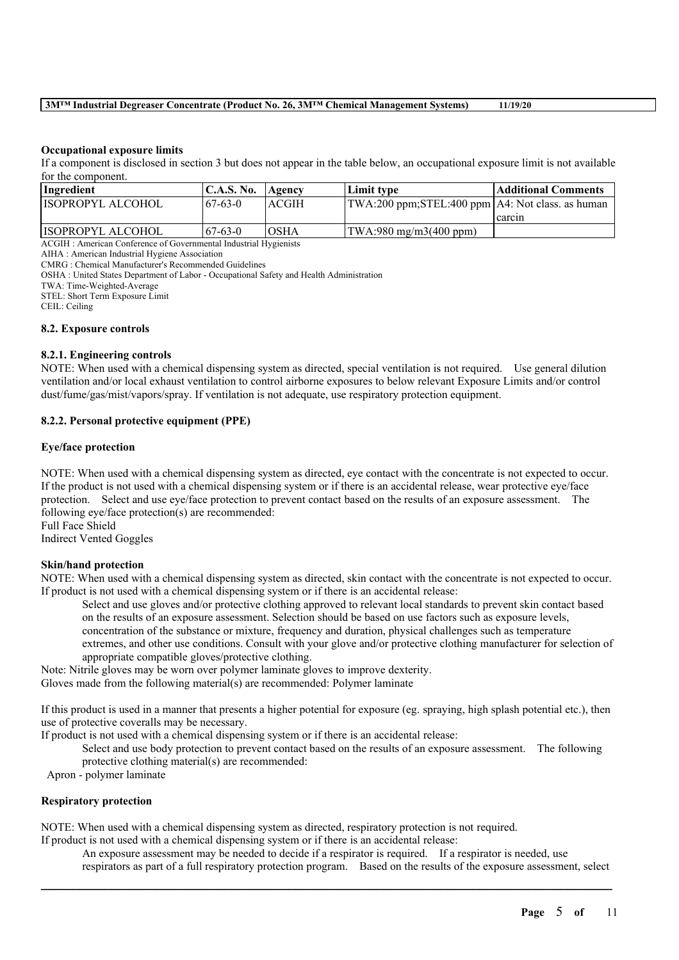## **3M™ Industrial Degreaser Concentrate (Product No. 26, 3M™ Chemical Management Systems) 11/19/20**

### **Occupational exposure limits**

If a component is disclosed in section 3 but does not appear in the table below, an occupational exposure limit is not available for the component.

| <b>Ingredient</b>        | $\mathsf{IC.A.S.}\,\mathsf{No.}$ | Agency | Limit type                                         | Additional Comments |
|--------------------------|----------------------------------|--------|----------------------------------------------------|---------------------|
| <b>ISOPROPYL ALCOHOL</b> | $67-63-0$                        | ACGIH  | TWA:200 ppm;STEL:400 ppm   A4: Not class. as human |                     |
|                          |                                  |        |                                                    | l carcin            |
| IISOPROPYL ALCOHOL       | $67-63-0$                        | IOSHA  | (TWA:980 mg/m3(400 ppm)                            |                     |

ACGIH : American Conference of Governmental Industrial Hygienists

AIHA : American Industrial Hygiene Association

CMRG : Chemical Manufacturer's Recommended Guidelines

OSHA : United States Department of Labor - Occupational Safety and Health Administration

TWA: Time-Weighted-Average

STEL: Short Term Exposure Limit

CEIL: Ceiling

## **8.2. Exposure controls**

## **8.2.1. Engineering controls**

NOTE: When used with a chemical dispensing system as directed, special ventilation is not required. Use general dilution ventilation and/or local exhaust ventilation to control airborne exposures to below relevant Exposure Limits and/or control dust/fume/gas/mist/vapors/spray. If ventilation is not adequate, use respiratory protection equipment.

## **8.2.2. Personal protective equipment (PPE)**

#### **Eye/face protection**

NOTE: When used with a chemical dispensing system as directed, eye contact with the concentrate is not expected to occur. If the product is not used with a chemical dispensing system or if there is an accidental release, wear protective eye/face protection. Select and use eye/face protection to prevent contact based on the results of an exposure assessment. The following eye/face protection(s) are recommended: Full Face Shield

Indirect Vented Goggles

## **Skin/hand protection**

NOTE: When used with a chemical dispensing system as directed, skin contact with the concentrate is not expected to occur. If product is not used with a chemical dispensing system or if there is an accidental release:

Select and use gloves and/or protective clothing approved to relevant local standards to prevent skin contact based on the results of an exposure assessment. Selection should be based on use factors such as exposure levels, concentration of the substance or mixture, frequency and duration, physical challenges such as temperature extremes, and other use conditions. Consult with your glove and/or protective clothing manufacturer for selection of appropriate compatible gloves/protective clothing.

Note: Nitrile gloves may be worn over polymer laminate gloves to improve dexterity.

Gloves made from the following material(s) are recommended: Polymer laminate

If this product is used in a manner that presents a higher potential for exposure (eg. spraying, high splash potential etc.), then use of protective coveralls may be necessary.

If product is not used with a chemical dispensing system or if there is an accidental release:

Select and use body protection to prevent contact based on the results of an exposure assessment. The following protective clothing material(s) are recommended:

Apron - polymer laminate

#### **Respiratory protection**

NOTE: When used with a chemical dispensing system as directed, respiratory protection is not required.

If product is not used with a chemical dispensing system or if there is an accidental release:

An exposure assessment may be needed to decide if a respirator is required. If a respirator is needed, use respirators as part of a full respiratory protection program. Based on the results of the exposure assessment, select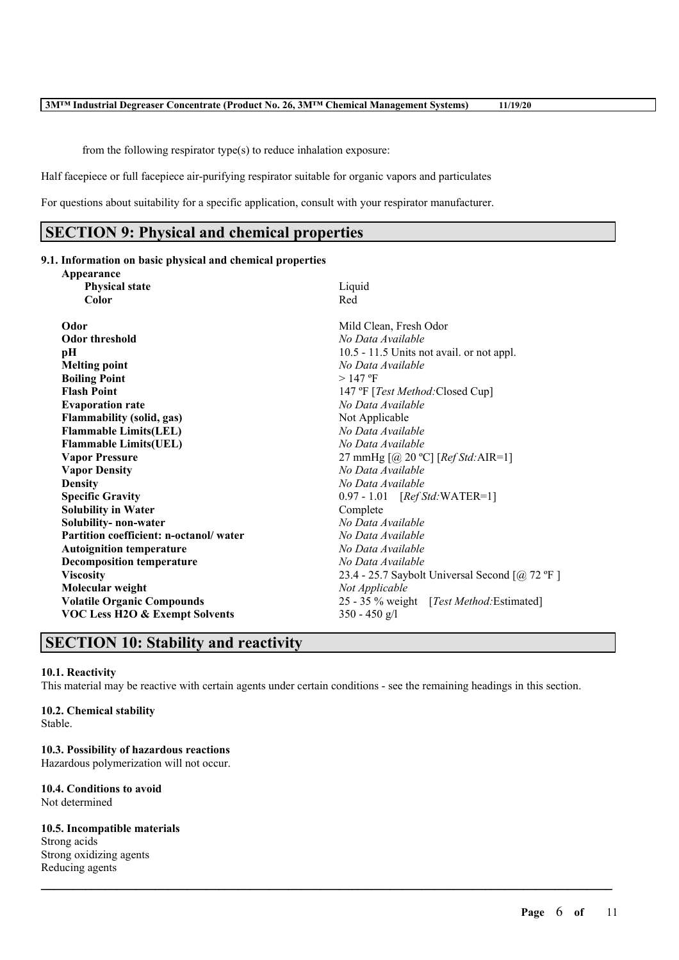from the following respirator type(s) to reduce inhalation exposure:

Half facepiece or full facepiece air-purifying respirator suitable for organic vapors and particulates

For questions about suitability for a specific application, consult with your respirator manufacturer.

# **SECTION 9: Physical and chemical properties**

#### **9.1. Information on basic physical and chemical properties Appearance**

| $A$ ppeal allyc                           |                                                    |
|-------------------------------------------|----------------------------------------------------|
| <b>Physical state</b>                     | Liquid                                             |
| Color                                     | Red                                                |
| Odor                                      | Mild Clean, Fresh Odor                             |
| <b>Odor threshold</b>                     | No Data Available                                  |
|                                           |                                                    |
| pН                                        | 10.5 - 11.5 Units not avail. or not appl.          |
| <b>Melting point</b>                      | No Data Available                                  |
| <b>Boiling Point</b>                      | $>147$ °F                                          |
| <b>Flash Point</b>                        | 147 °F [ <i>Test Method</i> :Closed Cup]           |
| <b>Evaporation rate</b>                   | No Data Available                                  |
| <b>Flammability</b> (solid, gas)          | Not Applicable                                     |
| <b>Flammable Limits(LEL)</b>              | No Data Available                                  |
| <b>Flammable Limits(UEL)</b>              | No Data Available                                  |
| <b>Vapor Pressure</b>                     | 27 mmHg $[@ 20 °C]$ [ <i>Ref Std</i> : AIR=1]      |
| <b>Vapor Density</b>                      | No Data Available                                  |
| <b>Density</b>                            | No Data Available                                  |
| <b>Specific Gravity</b>                   | 0.97 - 1.01 [Ref Std: WATER=1]                     |
| <b>Solubility in Water</b>                | Complete                                           |
| Solubility- non-water                     | No Data Available                                  |
| Partition coefficient: n-octanol/water    | No Data Available                                  |
| <b>Autoignition temperature</b>           | No Data Available                                  |
| <b>Decomposition temperature</b>          | No Data Available                                  |
| <b>Viscosity</b>                          | 23.4 - 25.7 Saybolt Universal Second $[@, 72$ °F ] |
| Molecular weight                          | Not Applicable                                     |
| <b>Volatile Organic Compounds</b>         | 25 - 35 % weight [Test Method: Estimated]          |
| <b>VOC Less H2O &amp; Exempt Solvents</b> | $350 - 450$ g/l                                    |
|                                           |                                                    |

# **SECTION 10: Stability and reactivity**

#### **10.1. Reactivity**

This material may be reactive with certain agents under certain conditions - see the remaining headings in this section.

 $\mathcal{L}_\mathcal{L} = \mathcal{L}_\mathcal{L} = \mathcal{L}_\mathcal{L} = \mathcal{L}_\mathcal{L} = \mathcal{L}_\mathcal{L} = \mathcal{L}_\mathcal{L} = \mathcal{L}_\mathcal{L} = \mathcal{L}_\mathcal{L} = \mathcal{L}_\mathcal{L} = \mathcal{L}_\mathcal{L} = \mathcal{L}_\mathcal{L} = \mathcal{L}_\mathcal{L} = \mathcal{L}_\mathcal{L} = \mathcal{L}_\mathcal{L} = \mathcal{L}_\mathcal{L} = \mathcal{L}_\mathcal{L} = \mathcal{L}_\mathcal{L}$ 

## **10.2. Chemical stability**

Stable.

## **10.3. Possibility of hazardous reactions**

Hazardous polymerization will not occur.

#### **10.4. Conditions to avoid** Not determined

## **10.5. Incompatible materials**

Strong acids Strong oxidizing agents Reducing agents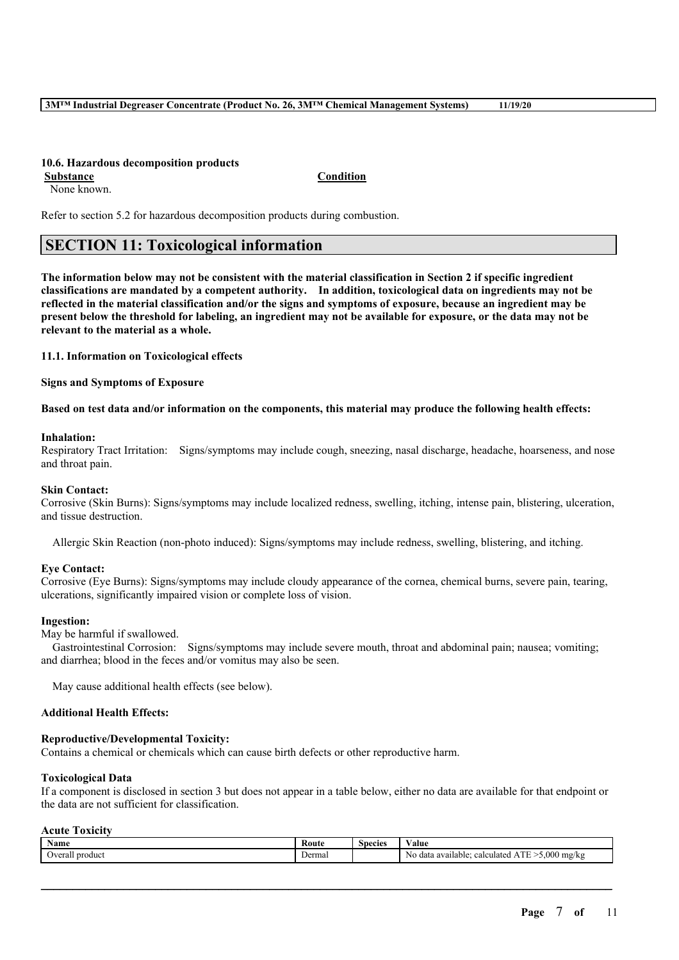## **10.6. Hazardous decomposition products**

**Substance Condition** None known.

Refer to section 5.2 for hazardous decomposition products during combustion.

# **SECTION 11: Toxicological information**

The information below may not be consistent with the material classification in Section 2 if specific ingredient **classifications are mandated by a competent authority. In addition, toxicological data on ingredients may not be** reflected in the material classification and/or the signs and symptoms of exposure, because an ingredient may be present below the threshold for labeling, an ingredient may not be available for exposure, or the data may not be **relevant to the material as a whole.**

**11.1. Information on Toxicological effects**

**Signs and Symptoms of Exposure**

Based on test data and/or information on the components, this material may produce the following health effects:

#### **Inhalation:**

Respiratory Tract Irritation: Signs/symptoms may include cough, sneezing, nasal discharge, headache, hoarseness, and nose and throat pain.

#### **Skin Contact:**

Corrosive (Skin Burns): Signs/symptoms may include localized redness, swelling, itching, intense pain, blistering, ulceration, and tissue destruction.

Allergic Skin Reaction (non-photo induced): Signs/symptoms may include redness, swelling, blistering, and itching.

## **Eye Contact:**

Corrosive (Eye Burns): Signs/symptoms may include cloudy appearance of the cornea, chemical burns, severe pain, tearing, ulcerations, significantly impaired vision or complete loss of vision.

## **Ingestion:**

May be harmful if swallowed.

Gastrointestinal Corrosion: Signs/symptoms may include severe mouth, throat and abdominal pain; nausea; vomiting; and diarrhea; blood in the feces and/or vomitus may also be seen.

May cause additional health effects (see below).

#### **Additional Health Effects:**

#### **Reproductive/Developmental Toxicity:**

Contains a chemical or chemicals which can cause birth defects or other reproductive harm.

### **Toxicological Data**

If a component is disclosed in section 3 but does not appear in a table below, either no data are available for that endpoint or the data are not sufficient for classification.

## **Acute Toxicity**

| Name                                   | - Kout | <b>Species</b> | 'alue<br>.                                                                   |
|----------------------------------------|--------|----------------|------------------------------------------------------------------------------|
| product<br>12222<br>urau -<br>. .<br>. | Dermal |                | .000<br><b>CONTRACTOR</b><br>mg/kg<br>calculated<br>available:<br>data<br>N0 |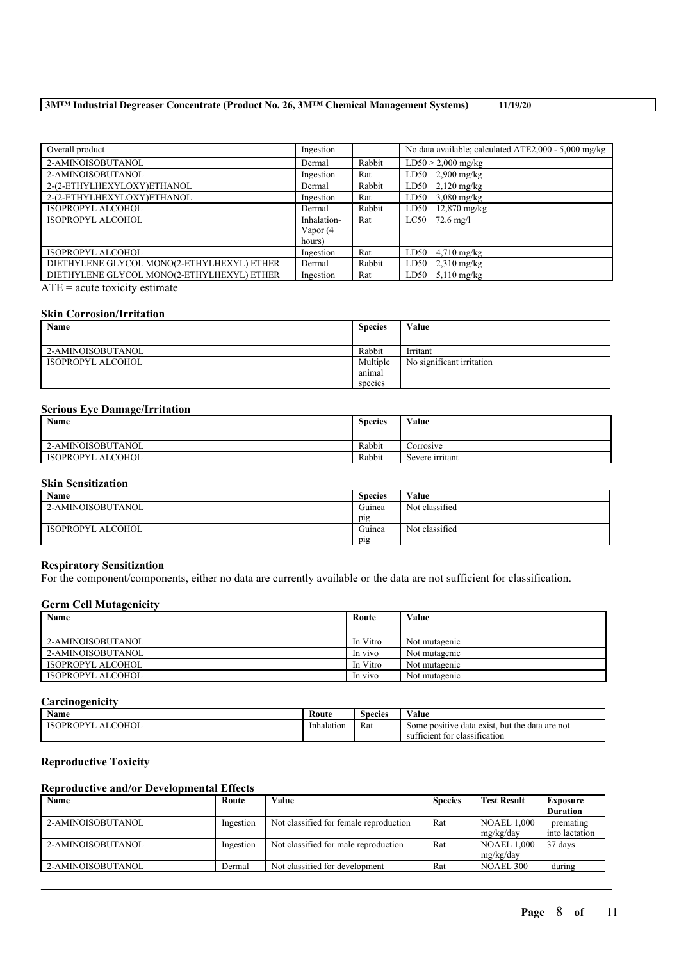## **3M™ Industrial Degreaser Concentrate (Product No. 26, 3M™ Chemical Management Systems) 11/19/20**

| Overall product                            | Ingestion   |        | No data available; calculated ATE2,000 - 5,000 mg/kg |
|--------------------------------------------|-------------|--------|------------------------------------------------------|
| 2-AMINOISOBUTANOL                          | Dermal      | Rabbit | $LD50 > 2,000$ mg/kg                                 |
| 2-AMINOISOBUTANOL                          | Ingestion   | Rat    | LD50 2,900 mg/kg                                     |
| 2-(2-ETHYLHEXYLOXY)ETHANOL                 | Dermal      | Rabbit | $LD50$ 2,120 mg/kg                                   |
| 2-(2-ETHYLHEXYLOXY)ETHANOL                 | Ingestion   | Rat    | LD50<br>$3,080$ mg/kg                                |
| ISOPROPYL ALCOHOL                          | Dermal      | Rabbit | $12,870$ mg/kg<br>LD50                               |
| <b>ISOPROPYL ALCOHOL</b>                   | Inhalation- | Rat    | $LC50$ 72.6 mg/l                                     |
|                                            | Vapor (4    |        |                                                      |
|                                            | hours)      |        |                                                      |
| ISOPROPYL ALCOHOL                          | Ingestion   | Rat    | LD50 $4,710$ mg/kg                                   |
| DIETHYLENE GLYCOL MONO(2-ETHYLHEXYL) ETHER | Dermal      | Rabbit | LD50<br>$2,310 \text{ mg/kg}$                        |
| DIETHYLENE GLYCOL MONO(2-ETHYLHEXYL) ETHER | Ingestion   | Rat    | LD50<br>$5.110$ mg/kg                                |

ATE = acute toxicity estimate

#### **Skin Corrosion/Irritation**

| Name              | <b>Species</b> | Value                     |
|-------------------|----------------|---------------------------|
|                   |                |                           |
| 2-AMINOISOBUTANOL | Rabbit         | Irritant                  |
| ISOPROPYL ALCOHOL | Multiple       | No significant irritation |
|                   | anımal         |                           |
|                   | species        |                           |

## **Serious Eye Damage/Irritation**

| Name              | <b>Species</b> | Value           |
|-------------------|----------------|-----------------|
| 2-AMINOISOBUTANOL | Rabbit         | Corrosive       |
| ISOPROPYL ALCOHOL | Rabbit         | Severe irritant |

## **Skin Sensitization**

| <b>Name</b>       | <b>Species</b> | Value          |
|-------------------|----------------|----------------|
| 2-AMINOISOBUTANOL | Guinea         | Not classified |
|                   | pig            |                |
| ISOPROPYL ALCOHOL | Guinea         | Not classified |
|                   | pig            |                |

#### **Respiratory Sensitization**

For the component/components, either no data are currently available or the data are not sufficient for classification.

#### **Germ Cell Mutagenicity**

| Name              | Route    | Value         |
|-------------------|----------|---------------|
|                   |          |               |
| 2-AMINOISOBUTANOL | In Vitro | Not mutagenic |
| 2-AMINOISOBUTANOL | In vivo  | Not mutagenic |
| ISOPROPYL ALCOHOL | In Vitro | Not mutagenic |
| ISOPROPYL ALCOHOL | In vivo  | Not mutagenic |

### **Carcinogenicity**

| Name                              | Route      | Species | ⁄ alue                                                                                  |
|-----------------------------------|------------|---------|-----------------------------------------------------------------------------------------|
| COHOL<br><b>ISOPROPYI</b><br>ALC. | Inhalation | Rat     | . but the data are not<br>Some positive data exist.<br>tor classification<br>sufficient |

## **Reproductive Toxicity**

## **Reproductive and/or Developmental Effects**

| Route     | Value                                  | <b>Species</b> | <b>Test Result</b> | <b>Exposure</b> |
|-----------|----------------------------------------|----------------|--------------------|-----------------|
|           |                                        |                |                    | <b>Duration</b> |
| Ingestion | Not classified for female reproduction | Rat            | <b>NOAEL 1.000</b> | premating       |
|           |                                        |                | mg/kg/day          | into lactation  |
| Ingestion | Not classified for male reproduction   | Rat            | <b>NOAEL 1.000</b> | 37 days         |
|           |                                        |                | mg/kg/day          |                 |
| Dermal    | Not classified for development         | Rat            | NOAEL 300          | during          |
|           |                                        |                |                    |                 |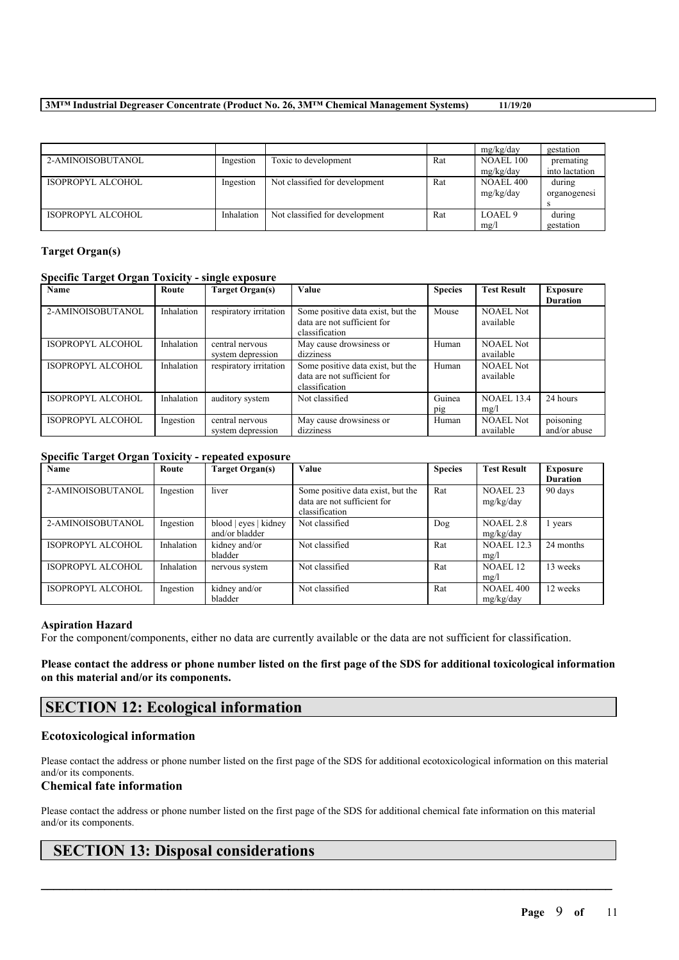## **3M™ Industrial Degreaser Concentrate (Product No. 26, 3M™ Chemical Management Systems) 11/19/20**

|                   |            |                                |     | mg/kg/day          | gestation      |
|-------------------|------------|--------------------------------|-----|--------------------|----------------|
| 2-AMINOISOBUTANOL | Ingestion  | Toxic to development           | Rat | <b>NOAEL 100</b>   | premating      |
|                   |            |                                |     | mg/kg/day          | into lactation |
| ISOPROPYL ALCOHOL | Ingestion  | Not classified for development | Rat | <b>NOAEL 400</b>   | during         |
|                   |            |                                |     | mg/kg/day          | organogenesi   |
|                   |            |                                |     |                    |                |
| ISOPROPYL ALCOHOL | Inhalation | Not classified for development | Rat | LOAEL <sub>9</sub> | during         |
|                   |            |                                |     | mg/l               | gestation      |

## **Target Organ(s)**

## **Specific Target Organ Toxicity - single exposure**

| Name                     | Route      | Target Organ(s)                      | Value                                                                              | <b>Species</b> | <b>Test Result</b>            | <b>Exposure</b><br><b>Duration</b> |
|--------------------------|------------|--------------------------------------|------------------------------------------------------------------------------------|----------------|-------------------------------|------------------------------------|
| 2-AMINOISOBUTANOL        | Inhalation | respiratory irritation               | Some positive data exist, but the<br>data are not sufficient for<br>classification | Mouse          | <b>NOAEL Not</b><br>available |                                    |
| ISOPROPYL ALCOHOL        | Inhalation | central nervous<br>system depression | May cause drowsiness or<br>dizziness                                               | Human          | <b>NOAEL Not</b><br>available |                                    |
| <b>ISOPROPYL ALCOHOL</b> | Inhalation | respiratory irritation               | Some positive data exist, but the<br>data are not sufficient for<br>classification | Human          | <b>NOAEL Not</b><br>available |                                    |
| ISOPROPYL ALCOHOL        | Inhalation | auditory system                      | Not classified                                                                     | Guinea<br>pig  | <b>NOAEL 13.4</b><br>mg/l     | 24 hours                           |
| ISOPROPYL ALCOHOL        | Ingestion  | central nervous<br>system depression | May cause drowsiness or<br>dizziness                                               | Human          | <b>NOAEL Not</b><br>available | poisoning<br>and/or abuse          |

## **Specific Target Organ Toxicity - repeated exposure**

| Name                     | Route      | Target Organ(s)       | Value                             | <b>Species</b> | <b>Test Result</b> | Exposure        |
|--------------------------|------------|-----------------------|-----------------------------------|----------------|--------------------|-----------------|
|                          |            |                       |                                   |                |                    | <b>Duration</b> |
| 2-AMINOISOBUTANOL        | Ingestion  | liver                 | Some positive data exist, but the | Rat            | <b>NOAEL 23</b>    | 90 days         |
|                          |            |                       | data are not sufficient for       |                | mg/kg/day          |                 |
|                          |            |                       | classification                    |                |                    |                 |
| 2-AMINOISOBUTANOL        | Ingestion  | blood   eyes   kidney | Not classified                    | Dog            | <b>NOAEL 2.8</b>   | 1 years         |
|                          |            | and/or bladder        |                                   |                | mg/kg/day          |                 |
| <b>ISOPROPYL ALCOHOL</b> | Inhalation | kidney and/or         | Not classified                    | Rat            | <b>NOAEL 12.3</b>  | 24 months       |
|                          |            | bladder               |                                   |                | mg/l               |                 |
| <b>ISOPROPYL ALCOHOL</b> | Inhalation | nervous system        | Not classified                    | Rat            | NOAEL 12           | 13 weeks        |
|                          |            |                       |                                   |                | mg/l               |                 |
| <b>ISOPROPYL ALCOHOL</b> | Ingestion  | kidney and/or         | Not classified                    | Rat            | <b>NOAEL 400</b>   | 12 weeks        |
|                          |            | bladder               |                                   |                | mg/kg/day          |                 |

## **Aspiration Hazard**

For the component/components, either no data are currently available or the data are not sufficient for classification.

Please contact the address or phone number listed on the first page of the SDS for additional toxicological information **on this material and/or its components.**

# **SECTION 12: Ecological information**

## **Ecotoxicological information**

Please contact the address or phone number listed on the first page of the SDS for additional ecotoxicological information on this material and/or its components.

## **Chemical fate information**

Please contact the address or phone number listed on the first page of the SDS for additional chemical fate information on this material and/or its components.

 $\mathcal{L}_\mathcal{L} = \mathcal{L}_\mathcal{L} = \mathcal{L}_\mathcal{L} = \mathcal{L}_\mathcal{L} = \mathcal{L}_\mathcal{L} = \mathcal{L}_\mathcal{L} = \mathcal{L}_\mathcal{L} = \mathcal{L}_\mathcal{L} = \mathcal{L}_\mathcal{L} = \mathcal{L}_\mathcal{L} = \mathcal{L}_\mathcal{L} = \mathcal{L}_\mathcal{L} = \mathcal{L}_\mathcal{L} = \mathcal{L}_\mathcal{L} = \mathcal{L}_\mathcal{L} = \mathcal{L}_\mathcal{L} = \mathcal{L}_\mathcal{L}$ 

# **SECTION 13: Disposal considerations**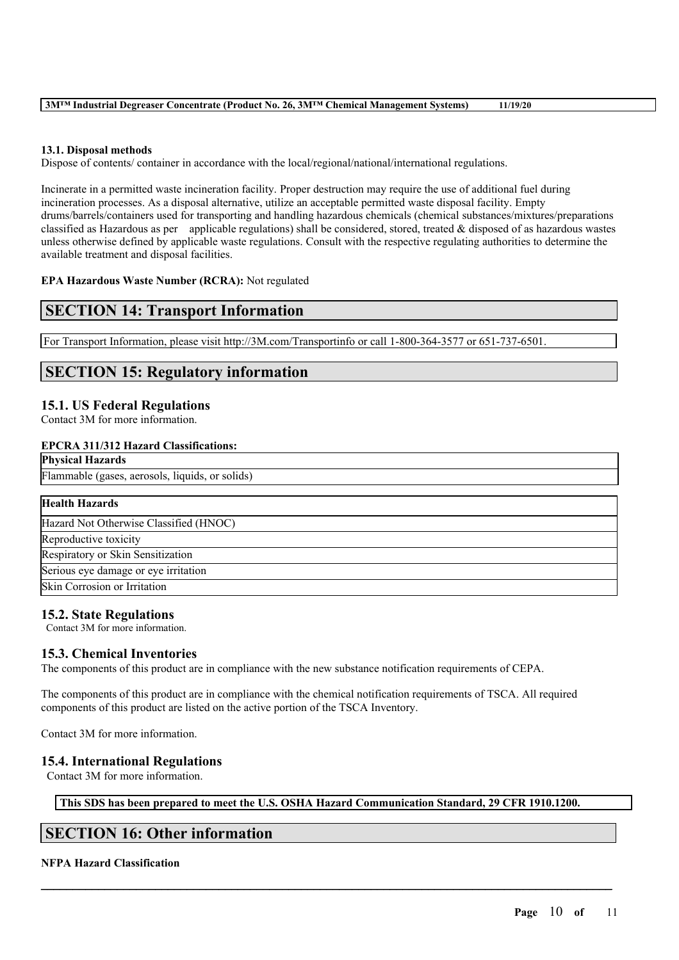| 3M <sup>™</sup> Industrial Degreaser Concentrate (Product No. 26, 3M <sup>™</sup> Chemical Management Systems)<br>11/19/20 |
|----------------------------------------------------------------------------------------------------------------------------|
|----------------------------------------------------------------------------------------------------------------------------|

## **13.1. Disposal methods**

Dispose of contents/ container in accordance with the local/regional/national/international regulations.

Incinerate in a permitted waste incineration facility. Proper destruction may require the use of additional fuel during incineration processes. As a disposal alternative, utilize an acceptable permitted waste disposal facility. Empty drums/barrels/containers used for transporting and handling hazardous chemicals (chemical substances/mixtures/preparations classified as Hazardous as per applicable regulations) shall be considered, stored, treated  $\&$  disposed of as hazardous wastes unless otherwise defined by applicable waste regulations. Consult with the respective regulating authorities to determine the available treatment and disposal facilities.

## **EPA Hazardous Waste Number (RCRA):** Not regulated

## **SECTION 14: Transport Information**

For Transport Information, please visit http://3M.com/Transportinfo or call 1-800-364-3577 or 651-737-6501.

# **SECTION 15: Regulatory information**

## **15.1. US Federal Regulations**

Contact 3M for more information.

#### **EPCRA 311/312 Hazard Classifications: Physical Hazards**

| а пуэклаг гладагчэ                              |
|-------------------------------------------------|
| Flammable (gases, aerosols, liquids, or solids) |
|                                                 |
| <b>Health Hazards</b>                           |
| Hazard Not Otherwise Classified (HNOC)          |
| Reproductive toxicity                           |
| Respiratory or Skin Sensitization               |
| Serious eye damage or eye irritation            |
| Skin Corrosion or Irritation                    |

## **15.2. State Regulations**

Contact 3M for more information.

## **15.3. Chemical Inventories**

The components of this product are in compliance with the new substance notification requirements of CEPA.

The components of this product are in compliance with the chemical notification requirements of TSCA. All required components of this product are listed on the active portion of the TSCA Inventory.

Contact 3M for more information.

## **15.4. International Regulations**

Contact 3M for more information.

**This SDS has been prepared to meet the U.S. OSHA Hazard Communication Standard, 29 CFR 1910.1200.**

 $\mathcal{L}_\mathcal{L} = \mathcal{L}_\mathcal{L} = \mathcal{L}_\mathcal{L} = \mathcal{L}_\mathcal{L} = \mathcal{L}_\mathcal{L} = \mathcal{L}_\mathcal{L} = \mathcal{L}_\mathcal{L} = \mathcal{L}_\mathcal{L} = \mathcal{L}_\mathcal{L} = \mathcal{L}_\mathcal{L} = \mathcal{L}_\mathcal{L} = \mathcal{L}_\mathcal{L} = \mathcal{L}_\mathcal{L} = \mathcal{L}_\mathcal{L} = \mathcal{L}_\mathcal{L} = \mathcal{L}_\mathcal{L} = \mathcal{L}_\mathcal{L}$ 

# **SECTION 16: Other information**

## **NFPA Hazard Classification**